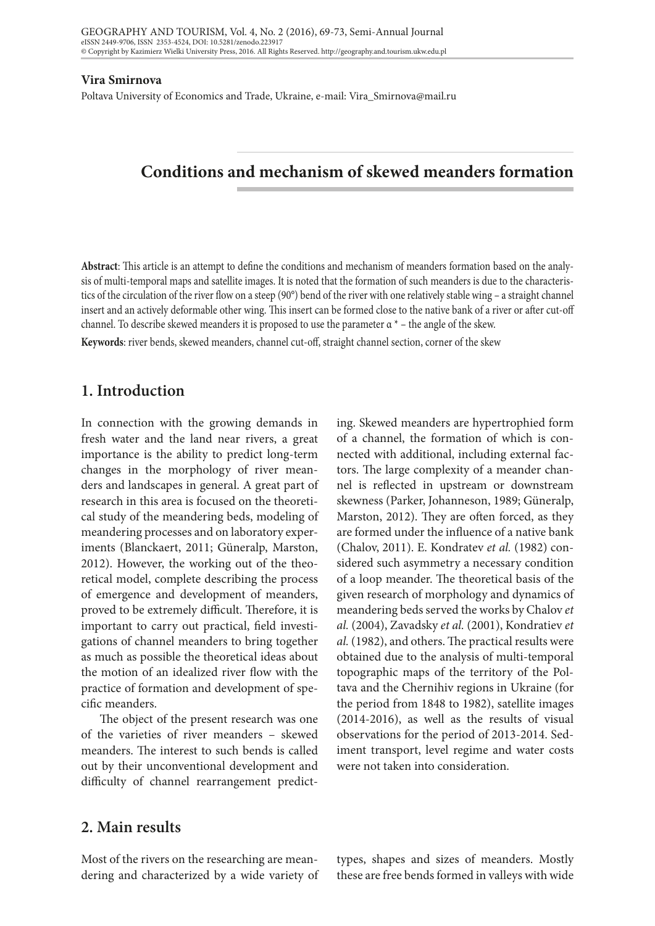#### **Vira Smirnova**

Poltava University of Economics and Trade, Ukraine, e-mail: Vira\_Smirnova@mail.ru

# **Conditions and mechanism of skewed meanders formation**

**Abstract**: This article is an attempt to define the conditions and mechanism of meanders formation based on the analysis of multi-temporal maps and satellite images. It is noted that the formation of such meanders is due to the characteristics of the circulation of the river flow on a steep (90°) bend of the river with one relatively stable wing – a straight channel insert and an actively deformable other wing. This insert can be formed close to the native bank of a river or after cut-off channel. To describe skewed meanders it is proposed to use the parameter  $\alpha^*$  – the angle of the skew.

**Keywords**: river bends, skewed meanders, channel cut-off, straight channel section, corner of the skew

### **1. Introduction**

In connection with the growing demands in fresh water and the land near rivers, a great importance is the ability to predict long-term changes in the morphology of river meanders and landscapes in general. A great part of research in this area is focused on the theoretical study of the meandering beds, modeling of meandering processes and on laboratory experiments (Blanckaert, 2011; Güneralp, Marston, 2012). However, the working out of the theoretical model, complete describing the process of emergence and development of meanders, proved to be extremely difficult. Therefore, it is important to carry out practical, field investigations of channel meanders to bring together as much as possible the theoretical ideas about the motion of an idealized river flow with the practice of formation and development of specific meanders.

The object of the present research was one of the varieties of river meanders – skewed meanders. The interest to such bends is called out by their unconventional development and difficulty of channel rearrangement predicting. Skewed meanders are hypertrophied form of a channel, the formation of which is connected with additional, including external factors. The large complexity of a meander channel is reflected in upstream or downstream skewness (Parker, Johanneson, 1989; Güneralp, Marston, 2012). They are often forced, as they are formed under the influence of a native bank (Chalov, 2011). E. Kondratev *et al.* (1982) considered such asymmetry a necessary condition of a loop meander. The theoretical basis of the given research of morphology and dynamics of meandering beds served the works by Chalov *et al.* (2004), Zavadsky *et al.* (2001), Kondratiev *et al.* (1982), and others. The practical results were obtained due to the analysis of multi-temporal topographic maps of the territory of the Poltava and the Chernihiv regions in Ukraine (for the period from 1848 to 1982), satellite images (2014-2016), as well as the results of visual observations for the period of 2013-2014. Sediment transport, level regime and water costs were not taken into consideration.

### **2. Main results**

Most of the rivers on the researching are meandering and characterized by a wide variety of

types, shapes and sizes of meanders. Mostly these are free bends formed in valleys with wide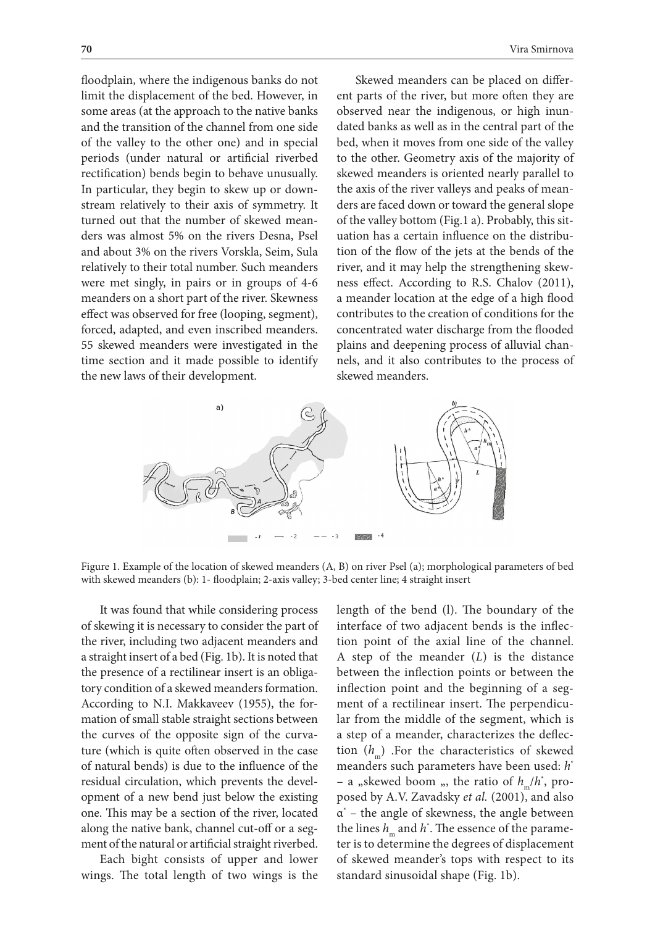floodplain, where the indigenous banks do not limit the displacement of the bed. However, in some areas (at the approach to the native banks and the transition of the channel from one side of the valley to the other one) and in special periods (under natural or artificial riverbed rectification) bends begin to behave unusually. In particular, they begin to skew up or downstream relatively to their axis of symmetry. It turned out that the number of skewed meanders was almost 5% on the rivers Desna, Psel and about 3% on the rivers Vorskla, Seim, Sula relatively to their total number. Such meanders were met singly, in pairs or in groups of 4-6 meanders on a short part of the river. Skewness effect was observed for free (looping, segment), forced, adapted, and even inscribed meanders. 55 skewed meanders were investigated in the time section and it made possible to identify the new laws of their development.

Skewed meanders can be placed on different parts of the river, but more often they are observed near the indigenous, or high inundated banks as well as in the central part of the bed, when it moves from one side of the valley to the other. Geometry axis of the majority of skewed meanders is oriented nearly parallel to the axis of the river valleys and peaks of meanders are faced down or toward the general slope of the valley bottom (Fig.1 a). Probably, this situation has a certain influence on the distribution of the flow of the jets at the bends of the river, and it may help the strengthening skewness effect. According to R.S. Chalov (2011), a meander location at the edge of a high flood contributes to the creation of conditions for the concentrated water discharge from the flooded plains and deepening process of alluvial channels, and it also contributes to the process of skewed meanders.



Figure 1. Example of the location of skewed meanders (A, B) on river Psel (a); morphological parameters of bed with skewed meanders (b): 1- floodplain; 2-axis valley; 3-bed center line; 4 straight insert

It was found that while considering process of skewing it is necessary to consider the part of the river, including two adjacent meanders and a straight insert of a bed (Fig. 1b). It is noted that the presence of a rectilinear insert is an obligatory condition of a skewed meanders formation. According to N.I. Makkaveev (1955), the formation of small stable straight sections between the curves of the opposite sign of the curvature (which is quite often observed in the case of natural bends) is due to the influence of the residual circulation, which prevents the development of a new bend just below the existing one. This may be a section of the river, located along the native bank, channel cut-off or a segment of the natural or artificial straight riverbed.

Each bight consists of upper and lower wings. The total length of two wings is the length of the bend (l). The boundary of the interface of two adjacent bends is the inflection point of the axial line of the channel. A step of the meander (*L*) is the distance between the inflection points or between the inflection point and the beginning of a segment of a rectilinear insert. The perpendicular from the middle of the segment, which is a step of a meander, characterizes the deflection  $(h_m)$  .For the characteristics of skewed meanders such parameters have been used: *h*\*  $-$  a "skewed boom ", the ratio of  $h_m/h^*$ , proposed by A.V. Zavadsky *et al.* (2001), and also  $\alpha^*$  – the angle of skewness, the angle between the lines  $h_{\text{m}}$  and  $h^*$ . The essence of the parameter is to determine the degrees of displacement of skewed meander's tops with respect to its standard sinusoidal shape (Fig. 1b).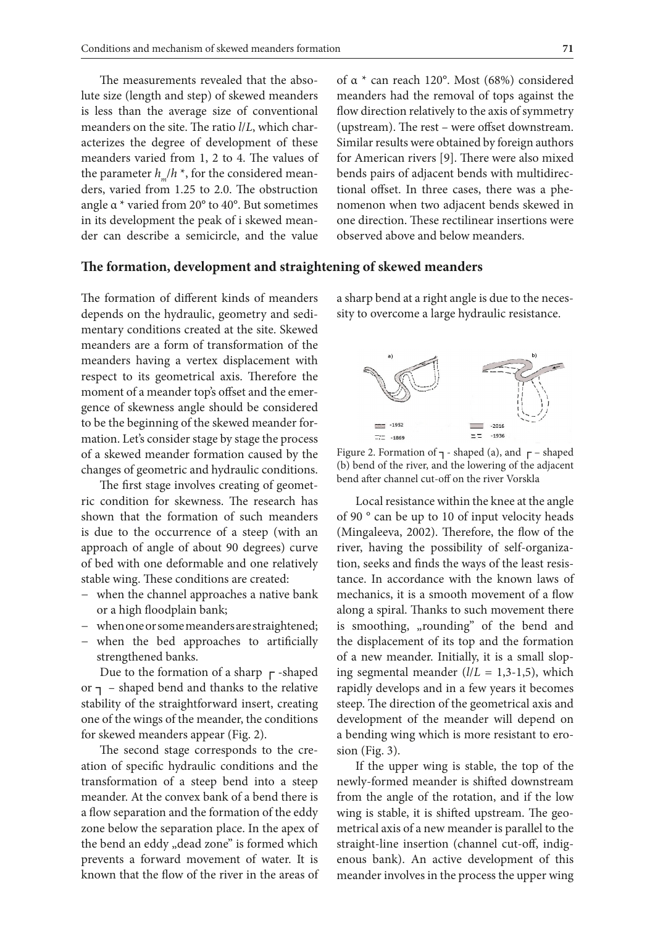The measurements revealed that the absolute size (length and step) of skewed meanders is less than the average size of conventional meanders on the site. The ratio *l*/*L*, which characterizes the degree of development of these meanders varied from 1, 2 to 4. The values of the parameter  $h_{m}/h^{*}$ , for the considered meanders, varied from 1.25 to 2.0. The obstruction angle α \* varied from 20° to 40°. But sometimes in its development the peak of i skewed meander can describe a semicircle, and the value

**The formation, development and straightening of skewed meanders**

The formation of different kinds of meanders depends on the hydraulic, geometry and sedimentary conditions created at the site. Skewed meanders are a form of transformation of the meanders having a vertex displacement with respect to its geometrical axis. Therefore the moment of a meander top's offset and the emergence of skewness angle should be considered to be the beginning of the skewed meander formation. Let's consider stage by stage the process of a skewed meander formation caused by the changes of geometric and hydraulic conditions.

The first stage involves creating of geometric condition for skewness. The research has shown that the formation of such meanders is due to the occurrence of a steep (with an approach of angle of about 90 degrees) curve of bed with one deformable and one relatively stable wing. These conditions are created:

- − when the channel approaches a native bank or a high floodplain bank;
- − when one or some meanders are straightened;
- − when the bed approaches to artificially strengthened banks.

Due to the formation of a sharp  $\Gamma$ -shaped or  $\tau$  – shaped bend and thanks to the relative stability of the straightforward insert, creating one of the wings of the meander, the conditions for skewed meanders appear (Fig. 2).

The second stage corresponds to the creation of specific hydraulic conditions and the transformation of a steep bend into a steep meander. At the convex bank of a bend there is a flow separation and the formation of the eddy zone below the separation place. In the apex of the bend an eddy "dead zone" is formed which prevents a forward movement of water. It is known that the flow of the river in the areas of of α \* can reach 120°. Most (68%) considered meanders had the removal of tops against the flow direction relatively to the axis of symmetry (upstream). The rest – were offset downstream. Similar results were obtained by foreign authors for American rivers [9]. There were also mixed bends pairs of adjacent bends with multidirectional offset. In three cases, there was a phenomenon when two adjacent bends skewed in one direction. These rectilinear insertions were observed above and below meanders.

a sharp bend at a right angle is due to the necessity to overcome a large hydraulic resistance.



Figure 2. Formation of  $\tau$  - shaped (a), and  $\tau$  – shaped (b) bend of the river, and the lowering of the adjacent bend after channel cut-off on the river Vorskla

Local resistance within the knee at the angle of 90 ° can be up to 10 of input velocity heads (Mingaleeva, 2002). Therefore, the flow of the river, having the possibility of self-organization, seeks and finds the ways of the least resistance. In accordance with the known laws of mechanics, it is a smooth movement of a flow along a spiral. Thanks to such movement there is smoothing, "rounding" of the bend and the displacement of its top and the formation of a new meander. Initially, it is a small sloping segmental meander  $(l/L = 1, 3-1, 5)$ , which rapidly develops and in a few years it becomes steep. The direction of the geometrical axis and development of the meander will depend on a bending wing which is more resistant to erosion (Fig. 3).

If the upper wing is stable, the top of the newly-formed meander is shifted downstream from the angle of the rotation, and if the low wing is stable, it is shifted upstream. The geometrical axis of a new meander is parallel to the straight-line insertion (channel cut-off, indigenous bank). An active development of this meander involves in the process the upper wing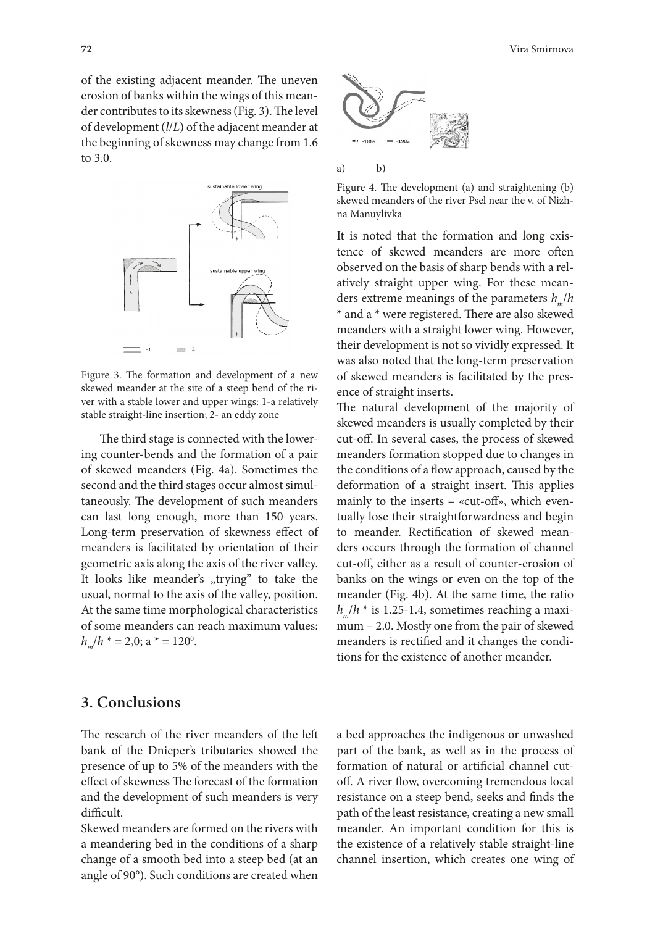of the existing adjacent meander. The uneven erosion of banks within the wings of this meander contributes to its skewness (Fig. 3). The level of development (*l*/*L*) of the adjacent meander at the beginning of skewness may change from 1.6 to 3.0.



Figure 3. The formation and development of a new skewed meander at the site of a steep bend of the river with a stable lower and upper wings: 1-a relatively stable straight-line insertion; 2- an eddy zone

The third stage is connected with the lowering counter-bends and the formation of a pair of skewed meanders (Fig. 4a). Sometimes the second and the third stages occur almost simultaneously. The development of such meanders can last long enough, more than 150 years. Long-term preservation of skewness effect of meanders is facilitated by orientation of their geometric axis along the axis of the river valley. It looks like meander's "trying" to take the usual, normal to the axis of the valley, position. At the same time morphological characteristics of some meanders can reach maximum values:  $h_{m}/h^* = 2.0$ ; a  $* = 120^{\circ}$ .



a) b)

Figure 4. The development (a) and straightening (b) skewed meanders of the river Psel near the v. of Nizhna Manuylivka

It is noted that the formation and long existence of skewed meanders are more often observed on the basis of sharp bends with a relatively straight upper wing. For these meanders extreme meanings of the parameters  $h_{m}/h$ \* and a \* were registered. There are also skewed meanders with a straight lower wing. However, their development is not so vividly expressed. It was also noted that the long-term preservation of skewed meanders is facilitated by the presence of straight inserts.

The natural development of the majority of skewed meanders is usually completed by their cut-off. In several cases, the process of skewed meanders formation stopped due to changes in the conditions of a flow approach, caused by the deformation of a straight insert. This applies mainly to the inserts – «cut-off», which eventually lose their straightforwardness and begin to meander. Rectification of skewed meanders occurs through the formation of channel cut-off, either as a result of counter-erosion of banks on the wings or even on the top of the meander (Fig. 4b). At the same time, the ratio  $h_n/h$  \* is 1.25-1.4, sometimes reaching a maximum – 2.0. Mostly one from the pair of skewed meanders is rectified and it changes the conditions for the existence of another meander.

## **3. Conclusions**

The research of the river meanders of the left bank of the Dnieper's tributaries showed the presence of up to 5% of the meanders with the effect of skewness The forecast of the formation and the development of such meanders is very difficult.

Skewed meanders are formed on the rivers with a meandering bed in the conditions of a sharp change of a smooth bed into a steep bed (at an angle of 90°). Such conditions are created when a bed approaches the indigenous or unwashed part of the bank, as well as in the process of formation of natural or artificial channel cutoff. A river flow, overcoming tremendous local resistance on a steep bend, seeks and finds the path of the least resistance, creating a new small meander. An important condition for this is the existence of a relatively stable straight-line channel insertion, which creates one wing of